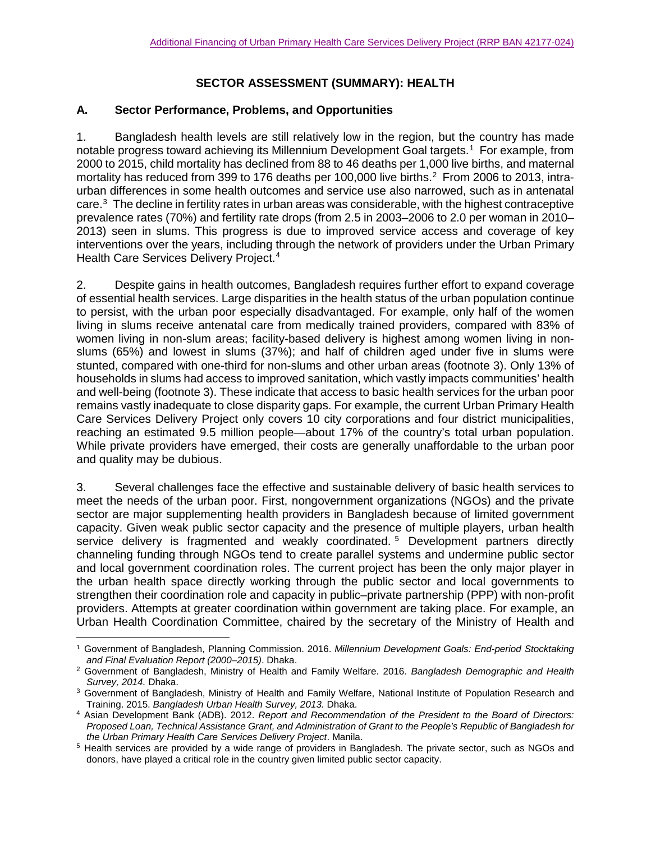# **SECTOR ASSESSMENT (SUMMARY): HEALTH**

### **A. Sector Performance, Problems, and Opportunities**

1. Bangladesh health levels are still relatively low in the region, but the country has made notable progress toward achieving its Millennium Development Goal targets. [1](#page-0-0) For example, from 2000 to 2015, child mortality has declined from 88 to 46 deaths per 1,000 live births, and maternal mortality has reduced from 399 to 176 deaths per 100,000 live births.<sup>[2](#page-0-1)</sup> From 2006 to 2013, intraurban differences in some health outcomes and service use also narrowed, such as in antenatal care. [3](#page-0-2) The decline in fertility rates in urban areas was considerable, with the highest contraceptive prevalence rates (70%) and fertility rate drops (from 2.5 in 2003–2006 to 2.0 per woman in 2010– 2013) seen in slums. This progress is due to improved service access and coverage of key interventions over the years, including through the network of providers under the Urban Primary Health Care Services Delivery Project. [4](#page-0-3)

2. Despite gains in health outcomes, Bangladesh requires further effort to expand coverage of essential health services. Large disparities in the health status of the urban population continue to persist, with the urban poor especially disadvantaged. For example, only half of the women living in slums receive antenatal care from medically trained providers, compared with 83% of women living in non-slum areas; facility-based delivery is highest among women living in nonslums (65%) and lowest in slums (37%); and half of children aged under five in slums were stunted, compared with one-third for non-slums and other urban areas (footnote 3). Only 13% of households in slums had access to improved sanitation, which vastly impacts communities' health and well-being (footnote 3). These indicate that access to basic health services for the urban poor remains vastly inadequate to close disparity gaps. For example, the current Urban Primary Health Care Services Delivery Project only covers 10 city corporations and four district municipalities, reaching an estimated 9.5 million people—about 17% of the country's total urban population. While private providers have emerged, their costs are generally unaffordable to the urban poor and quality may be dubious.

3. Several challenges face the effective and sustainable delivery of basic health services to meet the needs of the urban poor. First, nongovernment organizations (NGOs) and the private sector are major supplementing health providers in Bangladesh because of limited government capacity. Given weak public sector capacity and the presence of multiple players, urban health service delivery is fragmented and weakly coordinated.<sup>[5](#page-0-4)</sup> Development partners directly channeling funding through NGOs tend to create parallel systems and undermine public sector and local government coordination roles. The current project has been the only major player in the urban health space directly working through the public sector and local governments to strengthen their coordination role and capacity in public–private partnership (PPP) with non-profit providers. Attempts at greater coordination within government are taking place. For example, an Urban Health Coordination Committee, chaired by the secretary of the Ministry of Health and

<span id="page-0-0"></span> $\overline{a}$ <sup>1</sup> Government of Bangladesh, Planning Commission. 2016. *Millennium Development Goals: End-period Stocktaking and Final Evaluation Report (2000–2015)*. Dhaka.

<span id="page-0-1"></span><sup>2</sup> Government of Bangladesh, Ministry of Health and Family Welfare. 2016. *Bangladesh Demographic and Health* 

<span id="page-0-2"></span><sup>&</sup>lt;sup>3</sup> Government of Bangladesh, Ministry of Health and Family Welfare, National Institute of Population Research and Training. 2015. *Bangladesh Urban Health Survey, 2013.* Dhaka.

<span id="page-0-3"></span><sup>4</sup> Asian Development Bank (ADB). 2012. *Report and Recommendation of the President to the Board of Directors: Proposed Loan, Technical Assistance Grant, and Administration of Grant to the People's Republic of Bangladesh for the Urban Primary Health Care Services Delivery Project*. Manila.

<span id="page-0-4"></span><sup>5</sup> Health services are provided by a wide range of providers in Bangladesh. The private sector, such as NGOs and donors, have played a critical role in the country given limited public sector capacity.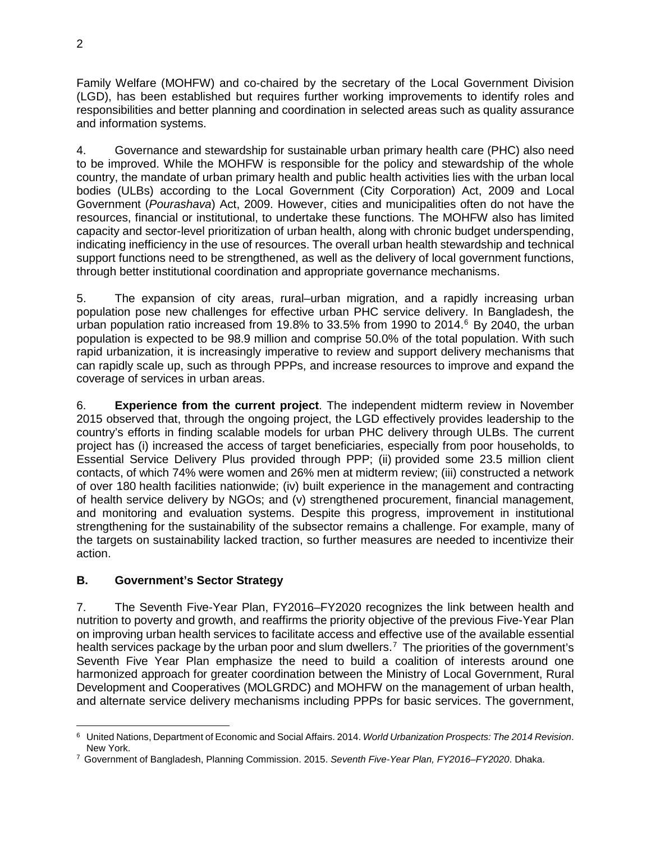Family Welfare (MOHFW) and co-chaired by the secretary of the Local Government Division (LGD), has been established but requires further working improvements to identify roles and responsibilities and better planning and coordination in selected areas such as quality assurance and information systems.

4. Governance and stewardship for sustainable urban primary health care (PHC) also need to be improved. While the MOHFW is responsible for the policy and stewardship of the whole country, the mandate of urban primary health and public health activities lies with the urban local bodies (ULBs) according to the Local Government (City Corporation) Act, 2009 and Local Government (*Pourashava*) Act, 2009. However, cities and municipalities often do not have the resources, financial or institutional, to undertake these functions. The MOHFW also has limited capacity and sector-level prioritization of urban health, along with chronic budget underspending, indicating inefficiency in the use of resources. The overall urban health stewardship and technical support functions need to be strengthened, as well as the delivery of local government functions, through better institutional coordination and appropriate governance mechanisms.

5. The expansion of city areas, rural–urban migration, and a rapidly increasing urban population pose new challenges for effective urban PHC service delivery. In Bangladesh, the urban population ratio increased from 19.8% to 33.5% from 1990 to 2014. $6$  By 2040, the urban population is expected to be 98.9 million and comprise 50.0% of the total population. With such rapid urbanization, it is increasingly imperative to review and support delivery mechanisms that can rapidly scale up, such as through PPPs, and increase resources to improve and expand the coverage of services in urban areas.

6. **Experience from the current project**. The independent midterm review in November 2015 observed that, through the ongoing project, the LGD effectively provides leadership to the country's efforts in finding scalable models for urban PHC delivery through ULBs. The current project has (i) increased the access of target beneficiaries, especially from poor households, to Essential Service Delivery Plus provided through PPP; (ii) provided some 23.5 million client contacts, of which 74% were women and 26% men at midterm review; (iii) constructed a network of over 180 health facilities nationwide; (iv) built experience in the management and contracting of health service delivery by NGOs; and (v) strengthened procurement, financial management, and monitoring and evaluation systems. Despite this progress, improvement in institutional strengthening for the sustainability of the subsector remains a challenge. For example, many of the targets on sustainability lacked traction, so further measures are needed to incentivize their action.

# **B. Government's Sector Strategy**

7. The Seventh Five-Year Plan, FY2016–FY2020 recognizes the link between health and nutrition to poverty and growth, and reaffirms the priority objective of the previous Five-Year Plan on improving urban health services to facilitate access and effective use of the available essential health services package by the urban poor and slum dwellers.<sup>[7](#page-1-1)</sup> The priorities of the government's Seventh Five Year Plan emphasize the need to build a coalition of interests around one harmonized approach for greater coordination between the Ministry of Local Government, Rural Development and Cooperatives (MOLGRDC) and MOHFW on the management of urban health, and alternate service delivery mechanisms including PPPs for basic services. The government,

<span id="page-1-0"></span> $\overline{a}$ <sup>6</sup> United Nations, Department of Economic and Social Affairs. 2014. *World Urbanization Prospects: The 2014 Revision*. New York.

<span id="page-1-1"></span><sup>7</sup> Government of Bangladesh, Planning Commission. 2015. *Seventh Five-Year Plan, FY2016–FY2020*. Dhaka.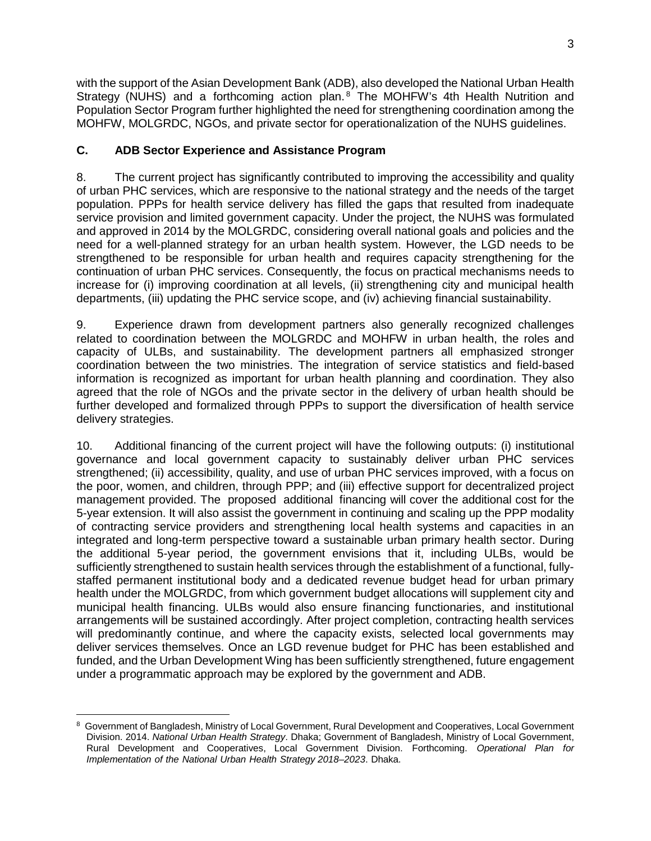with the support of the Asian Development Bank (ADB), also developed the National Urban Health Strategy (NUHS) and a forthcoming action plan.<sup>[8](#page-2-0)</sup> The MOHFW's 4th Health Nutrition and Population Sector Program further highlighted the need for strengthening coordination among the MOHFW, MOLGRDC, NGOs, and private sector for operationalization of the NUHS guidelines.

#### **C. ADB Sector Experience and Assistance Program**

8. The current project has significantly contributed to improving the accessibility and quality of urban PHC services, which are responsive to the national strategy and the needs of the target population. PPPs for health service delivery has filled the gaps that resulted from inadequate service provision and limited government capacity. Under the project, the NUHS was formulated and approved in 2014 by the MOLGRDC, considering overall national goals and policies and the need for a well-planned strategy for an urban health system. However, the LGD needs to be strengthened to be responsible for urban health and requires capacity strengthening for the continuation of urban PHC services. Consequently, the focus on practical mechanisms needs to increase for (i) improving coordination at all levels, (ii) strengthening city and municipal health departments, (iii) updating the PHC service scope, and (iv) achieving financial sustainability.

9. Experience drawn from development partners also generally recognized challenges related to coordination between the MOLGRDC and MOHFW in urban health, the roles and capacity of ULBs, and sustainability. The development partners all emphasized stronger coordination between the two ministries. The integration of service statistics and field-based information is recognized as important for urban health planning and coordination. They also agreed that the role of NGOs and the private sector in the delivery of urban health should be further developed and formalized through PPPs to support the diversification of health service delivery strategies.

10. Additional financing of the current project will have the following outputs: (i) institutional governance and local government capacity to sustainably deliver urban PHC services strengthened; (ii) accessibility, quality, and use of urban PHC services improved, with a focus on the poor, women, and children, through PPP; and (iii) effective support for decentralized project management provided. The proposed additional financing will cover the additional cost for the 5-year extension. It will also assist the government in continuing and scaling up the PPP modality of contracting service providers and strengthening local health systems and capacities in an integrated and long-term perspective toward a sustainable urban primary health sector. During the additional 5-year period, the government envisions that it, including ULBs, would be sufficiently strengthened to sustain health services through the establishment of a functional, fullystaffed permanent institutional body and a dedicated revenue budget head for urban primary health under the MOLGRDC, from which government budget allocations will supplement city and municipal health financing. ULBs would also ensure financing functionaries, and institutional arrangements will be sustained accordingly. After project completion, contracting health services will predominantly continue, and where the capacity exists, selected local governments may deliver services themselves. Once an LGD revenue budget for PHC has been established and funded, and the Urban Development Wing has been sufficiently strengthened, future engagement under a programmatic approach may be explored by the government and ADB.

<span id="page-2-0"></span> $\overline{a}$ <sup>8</sup> Government of Bangladesh, Ministry of Local Government, Rural Development and Cooperatives, Local Government Division. 2014. *National Urban Health Strategy*. Dhaka; Government of Bangladesh, Ministry of Local Government, Rural Development and Cooperatives, Local Government Division. Forthcoming. *Operational Plan for Implementation of the National Urban Health Strategy 2018–2023*. Dhaka.